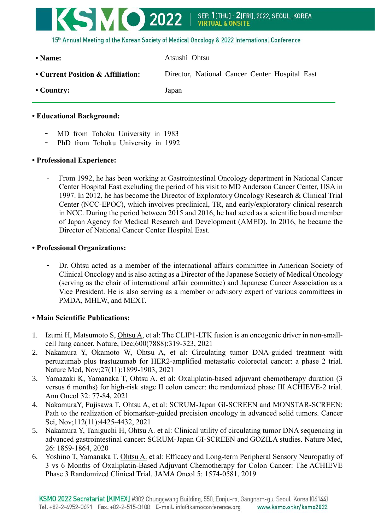

**• Country:** Japan

## **• Educational Background:**

- MD from Tohoku University in 1983
- PhD from Tohoku University in 1992

## **• Professional Experience:**

- From 1992, he has been working at Gastrointestinal Oncology department in National Cancer Center Hospital East excluding the period of his visit to MD Anderson Cancer Center, USA in 1997. In 2012, he has become the Director of Exploratory Oncology Research & Clinical Trial Center (NCC-EPOC), which involves preclinical, TR, and early/exploratory clinical research in NCC. During the period between 2015 and 2016, he had acted as a scientific board member of Japan Agency for Medical Research and Development (AMED). In 2016, he became the Director of National Cancer Center Hospital East.

## **• Professional Organizations:**

- Dr. Ohtsu acted as a member of the international affairs committee in American Society of Clinical Oncology and is also acting as a Director of the Japanese Society of Medical Oncology (serving as the chair of international affair committee) and Japanese Cancer Association as a Vice President. He is also serving as a member or advisory expert of various committees in PMDA, MHLW, and MEXT.

## **• Main Scientific Publications:**

- 1. Izumi H, Matsumoto S, Ohtsu A, et al: The CLIP1-LTK fusion is an oncogenic driver in non-smallcell lung cancer. Nature, Dec;600(7888):319-323, 2021
- 2. Nakamura Y, Okamoto W, Ohtsu A, et al: Circulating tumor DNA-guided treatment with pertuzumab plus trastuzumab for HER2-amplified metastatic colorectal cancer: a phase 2 trial. Nature Med, Nov;27(11):1899-1903, 2021
- 3. Yamazaki K, Yamanaka T, Ohtsu A. et al: Oxaliplatin-based adjuvant chemotherapy duration (3 versus 6 months) for high-risk stage II colon cancer: the randomized phase III ACHIEVE-2 trial. Ann Oncol 32: 77-84, 2021
- 4. NakamuraY, Fujisawa T, Ohtsu A, et al: SCRUM-Japan GI-SCREEN and MONSTAR-SCREEN: Path to the realization of biomarker-guided precision oncology in advanced solid tumors. Cancer Sci, Nov;112(11):4425-4432, 2021
- 5. Nakamura Y, Taniguchi H, Ohtsu A. et al: Clinical utility of circulating tumor DNA sequencing in advanced gastrointestinal cancer: SCRUM-Japan GI-SCREEN and GOZILA studies. Nature Med, 26: 1859-1864, 2020
- 6. Yoshino T, Yamanaka T, Ohtsu A. et al: Efficacy and Long-term Peripheral Sensory Neuropathy of 3 vs 6 Months of Oxaliplatin-Based Adjuvant Chemotherapy for Colon Cancer: The ACHIEVE Phase 3 Randomized Clinical Trial. JAMA Oncol 5: 1574-0581, 2019